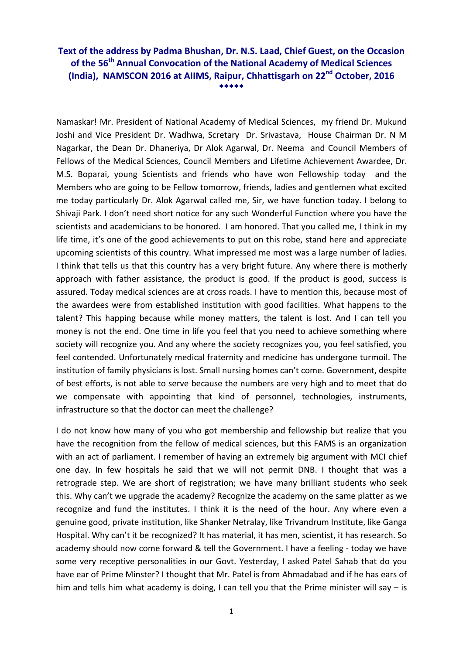## **Text of the address by Padma Bhushan, Dr. N.S. Laad, Chief Guest, on the Occasion of the 56th Annual Convocation of the National Academy of Medical Sciences (India), NAMSCON 2016 at AIIMS, Raipur, Chhattisgarh on 22nd October, 2016 \*\*\*\*\***

Namaskar! Mr. President of National Academy of Medical Sciences, my friend Dr. Mukund Joshi and Vice President Dr. Wadhwa, Scretary Dr. Srivastava, House Chairman Dr. N M Nagarkar, the Dean Dr. Dhaneriya, Dr Alok Agarwal, Dr. Neema and Council Members of Fellows of the Medical Sciences, Council Members and Lifetime Achievement Awardee, Dr. M.S. Boparai, young Scientists and friends who have won Fellowship today and the Members who are going to be Fellow tomorrow, friends, ladies and gentlemen what excited me today particularly Dr. Alok Agarwal called me, Sir, we have function today. I belong to Shivaji Park. I don't need short notice for any such Wonderful Function where you have the scientists and academicians to be honored. I am honored. That you called me, I think in my life time, it's one of the good achievements to put on this robe, stand here and appreciate upcoming scientists of this country. What impressed me most was a large number of ladies. I think that tells us that this country has a very bright future. Any where there is motherly approach with father assistance, the product is good. If the product is good, success is assured. Today medical sciences are at cross roads. I have to mention this, because most of the awardees were from established institution with good facilities. What happens to the talent? This happing because while money matters, the talent is lost. And I can tell you money is not the end. One time in life you feel that you need to achieve something where society will recognize you. And any where the society recognizes you, you feel satisfied, you feel contended. Unfortunately medical fraternity and medicine has undergone turmoil. The institution of family physicians is lost. Small nursing homes can't come. Government, despite of best efforts, is not able to serve because the numbers are very high and to meet that do we compensate with appointing that kind of personnel, technologies, instruments, infrastructure so that the doctor can meet the challenge?

I do not know how many of you who got membership and fellowship but realize that you have the recognition from the fellow of medical sciences, but this FAMS is an organization with an act of parliament. I remember of having an extremely big argument with MCI chief one day. In few hospitals he said that we will not permit DNB. I thought that was a retrograde step. We are short of registration; we have many brilliant students who seek this. Why can't we upgrade the academy? Recognize the academy on the same platter as we recognize and fund the institutes. I think it is the need of the hour. Any where even a genuine good, private institution, like Shanker Netralay, like Trivandrum Institute, like Ganga Hospital. Why can't it be recognized? It has material, it has men, scientist, it has research. So academy should now come forward & tell the Government. I have a feeling - today we have some very receptive personalities in our Govt. Yesterday, I asked Patel Sahab that do you have ear of Prime Minster? I thought that Mr. Patel is from Ahmadabad and if he has ears of him and tells him what academy is doing, I can tell you that the Prime minister will say  $-$  is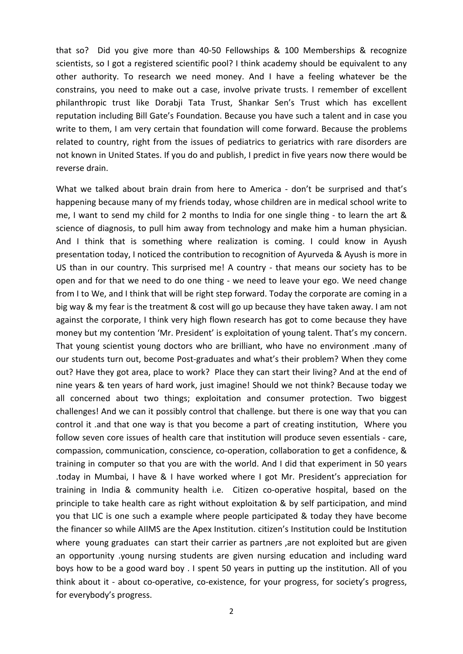that so? Did you give more than 40-50 Fellowships & 100 Memberships & recognize scientists, so I got a registered scientific pool? I think academy should be equivalent to any other authority. To research we need money. And I have a feeling whatever be the constrains, you need to make out a case, involve private trusts. I remember of excellent philanthropic trust like Dorabji Tata Trust, Shankar Sen's Trust which has excellent reputation including Bill Gate's Foundation. Because you have such a talent and in case you write to them, I am very certain that foundation will come forward. Because the problems related to country, right from the issues of pediatrics to geriatrics with rare disorders are not known in United States. If you do and publish, I predict in five years now there would be reverse drain.

What we talked about brain drain from here to America - don't be surprised and that's happening because many of my friends today, whose children are in medical school write to me, I want to send my child for 2 months to India for one single thing - to learn the art & science of diagnosis, to pull him away from technology and make him a human physician. And I think that is something where realization is coming. I could know in Ayush presentation today, I noticed the contribution to recognition of Ayurveda & Ayush is more in US than in our country. This surprised me! A country - that means our society has to be open and for that we need to do one thing - we need to leave your ego. We need change from I to We, and I think that will be right step forward. Today the corporate are coming in a big way & my fear is the treatment & cost will go up because they have taken away. I am not against the corporate, I think very high flown research has got to come because they have money but my contention 'Mr. President' is exploitation of young talent. That's my concern. That young scientist young doctors who are brilliant, who have no environment .many of our students turn out, become Post-graduates and what's their problem? When they come out? Have they got area, place to work? Place they can start their living? And at the end of nine years & ten years of hard work, just imagine! Should we not think? Because today we all concerned about two things; exploitation and consumer protection. Two biggest challenges! And we can it possibly control that challenge. but there is one way that you can control it .and that one way is that you become a part of creating institution, Where you follow seven core issues of health care that institution will produce seven essentials - care, compassion, communication, conscience, co-operation, collaboration to get a confidence, & training in computer so that you are with the world. And I did that experiment in 50 years .today in Mumbai, I have & I have worked where I got Mr. President's appreciation for training in India & community health i.e. Citizen co-operative hospital, based on the principle to take health care as right without exploitation & by self participation, and mind you that LIC is one such a example where people participated & today they have become the financer so while AIIMS are the Apex Institution. citizen's Institution could be Institution where young graduates can start their carrier as partners, are not exploited but are given an opportunity .young nursing students are given nursing education and including ward boys how to be a good ward boy . I spent 50 years in putting up the institution. All of you think about it - about co-operative, co-existence, for your progress, for society's progress, for everybody's progress.